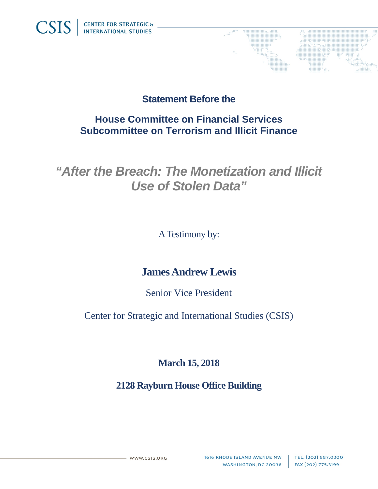

## **Statement Before the**

## **House Committee on Financial Services Subcommittee on Terrorism and Illicit Finance**

# *"After the Breach: The Monetization and Illicit Use of Stolen Data"*

A Testimony by:

# **James Andrew Lewis**

Senior Vice President

Center for Strategic and International Studies (CSIS)

### **March 15, 2018**

### **2128 Rayburn House Office Building**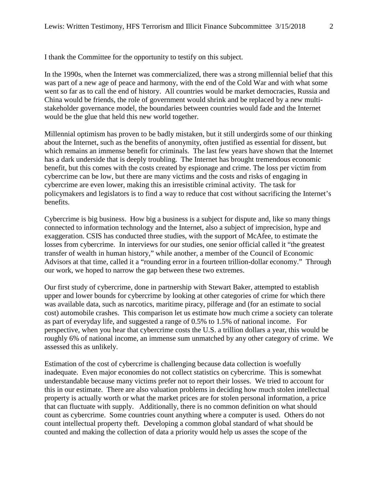I thank the Committee for the opportunity to testify on this subject.

In the 1990s, when the Internet was commercialized, there was a strong millennial belief that this was part of a new age of peace and harmony, with the end of the Cold War and with what some went so far as to call the end of history. All countries would be market democracies, Russia and China would be friends, the role of government would shrink and be replaced by a new multistakeholder governance model, the boundaries between countries would fade and the Internet would be the glue that held this new world together.

Millennial optimism has proven to be badly mistaken, but it still undergirds some of our thinking about the Internet, such as the benefits of anonymity, often justified as essential for dissent, but which remains an immense benefit for criminals. The last few years have shown that the Internet has a dark underside that is deeply troubling. The Internet has brought tremendous economic benefit, but this comes with the costs created by espionage and crime. The loss per victim from cybercrime can be low, but there are many victims and the costs and risks of engaging in cybercrime are even lower, making this an irresistible criminal activity. The task for policymakers and legislators is to find a way to reduce that cost without sacrificing the Internet's benefits.

Cybercrime is big business. How big a business is a subject for dispute and, like so many things connected to information technology and the Internet, also a subject of imprecision, hype and exaggeration. CSIS has conducted three studies, with the support of McAfee, to estimate the losses from cybercrime. In interviews for our studies, one senior official called it "the greatest transfer of wealth in human history," while another, a member of the Council of Economic Advisors at that time, called it a "rounding error in a fourteen trillion-dollar economy." Through our work, we hoped to narrow the gap between these two extremes.

Our first study of cybercrime, done in partnership with Stewart Baker, attempted to establish upper and lower bounds for cybercrime by looking at other categories of crime for which there was available data, such as narcotics, maritime piracy, pilferage and (for an estimate to social cost) automobile crashes. This comparison let us estimate how much crime a society can tolerate as part of everyday life, and suggested a range of 0.5% to 1.5% of national income. For perspective, when you hear that cybercrime costs the U.S. a trillion dollars a year, this would be roughly 6% of national income, an immense sum unmatched by any other category of crime. We assessed this as unlikely.

Estimation of the cost of cybercrime is challenging because data collection is woefully inadequate. Even major economies do not collect statistics on cybercrime. This is somewhat understandable because many victims prefer not to report their losses. We tried to account for this in our estimate. There are also valuation problems in deciding how much stolen intellectual property is actually worth or what the market prices are for stolen personal information, a price that can fluctuate with supply. Additionally, there is no common definition on what should count as cybercrime. Some countries count anything where a computer is used. Others do not count intellectual property theft. Developing a common global standard of what should be counted and making the collection of data a priority would help us asses the scope of the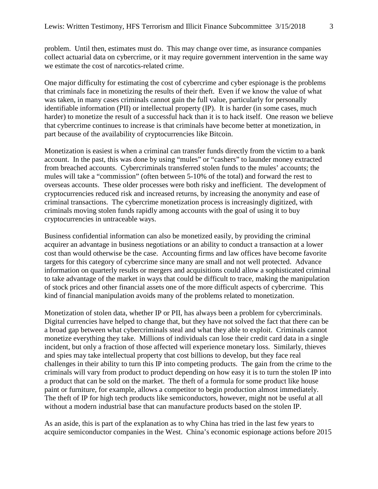problem. Until then, estimates must do. This may change over time, as insurance companies collect actuarial data on cybercrime, or it may require government intervention in the same way we estimate the cost of narcotics-related crime.

One major difficulty for estimating the cost of cybercrime and cyber espionage is the problems that criminals face in monetizing the results of their theft. Even if we know the value of what was taken, in many cases criminals cannot gain the full value, particularly for personally identifiable information (PII) or intellectual property (IP). It is harder (in some cases, much harder) to monetize the result of a successful hack than it is to hack itself. One reason we believe that cybercrime continues to increase is that criminals have become better at monetization, in part because of the availability of cryptocurrencies like Bitcoin.

Monetization is easiest is when a criminal can transfer funds directly from the victim to a bank account. In the past, this was done by using "mules" or "cashers" to launder money extracted from breached accounts. Cybercriminals transferred stolen funds to the mules' accounts; the mules will take a "commission" (often between 5-10% of the total) and forward the rest to overseas accounts. These older processes were both risky and inefficient. The development of cryptocurrencies reduced risk and increased returns, by increasing the anonymity and ease of criminal transactions. The cybercrime monetization process is increasingly digitized, with criminals moving stolen funds rapidly among accounts with the goal of using it to buy cryptocurrencies in untraceable ways.

Business confidential information can also be monetized easily, by providing the criminal acquirer an advantage in business negotiations or an ability to conduct a transaction at a lower cost than would otherwise be the case. Accounting firms and law offices have become favorite targets for this category of cybercrime since many are small and not well protected. Advance information on quarterly results or mergers and acquisitions could allow a sophisticated criminal to take advantage of the market in ways that could be difficult to trace, making the manipulation of stock prices and other financial assets one of the more difficult aspects of cybercrime. This kind of financial manipulation avoids many of the problems related to monetization.

Monetization of stolen data, whether IP or PII, has always been a problem for cybercriminals. Digital currencies have helped to change that, but they have not solved the fact that there can be a broad gap between what cybercriminals steal and what they able to exploit. Criminals cannot monetize everything they take. Millions of individuals can lose their credit card data in a single incident, but only a fraction of those affected will experience monetary loss. Similarly, thieves and spies may take intellectual property that cost billions to develop, but they face real challenges in their ability to turn this IP into competing products. The gain from the crime to the criminals will vary from product to product depending on how easy it is to turn the stolen IP into a product that can be sold on the market. The theft of a formula for some product like house paint or furniture, for example, allows a competitor to begin production almost immediately. The theft of IP for high tech products like semiconductors, however, might not be useful at all without a modern industrial base that can manufacture products based on the stolen IP.

As an aside, this is part of the explanation as to why China has tried in the last few years to acquire semiconductor companies in the West. China's economic espionage actions before 2015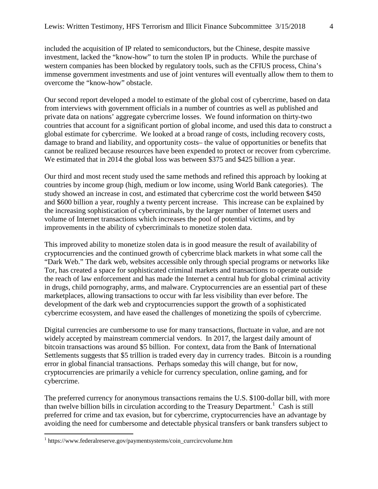included the acquisition of IP related to semiconductors, but the Chinese, despite massive investment, lacked the "know-how" to turn the stolen IP in products. While the purchase of western companies has been blocked by regulatory tools, such as the CFIUS process, China's immense government investments and use of joint ventures will eventually allow them to them to overcome the "know-how" obstacle.

Our second report developed a model to estimate of the global cost of cybercrime, based on data from interviews with government officials in a number of countries as well as published and private data on nations' aggregate cybercrime losses. We found information on thirty-two countries that account for a significant portion of global income, and used this data to construct a global estimate for cybercrime. We looked at a broad range of costs, including recovery costs, damage to brand and liability, and opportunity costs– the value of opportunities or benefits that cannot be realized because resources have been expended to protect or recover from cybercrime. We estimated that in 2014 the global loss was between \$375 and \$425 billion a year.

Our third and most recent study used the same methods and refined this approach by looking at countries by income group (high, medium or low income, using World Bank categories). The study showed an increase in cost, and estimated that cybercrime cost the world between \$450 and \$600 billion a year, roughly a twenty percent increase. This increase can be explained by the increasing sophistication of cybercriminals, by the larger number of Internet users and volume of Internet transactions which increases the pool of potential victims, and by improvements in the ability of cybercriminals to monetize stolen data.

This improved ability to monetize stolen data is in good measure the result of availability of cryptocurrencies and the continued growth of cybercrime black markets in what some call the "Dark Web." The dark web, websites accessible only through special programs or networks like Tor, has created a space for sophisticated criminal markets and transactions to operate outside the reach of law enforcement and has made the Internet a central hub for global criminal activity in drugs, child pornography, arms, and malware. Cryptocurrencies are an essential part of these marketplaces, allowing transactions to occur with far less visibility than ever before. The development of the dark web and cryptocurrencies support the growth of a sophisticated cybercrime ecosystem, and have eased the challenges of monetizing the spoils of cybercrime.

Digital currencies are cumbersome to use for many transactions, fluctuate in value, and are not widely accepted by mainstream commercial vendors. In 2017, the largest daily amount of bitcoin transactions was around \$5 billion. For context, data from the Bank of International Settlements suggests that \$5 trillion is traded every day in currency trades. Bitcoin is a rounding error in global financial transactions. Perhaps someday this will change, but for now, cryptocurrencies are primarily a vehicle for currency speculation, online gaming, and for cybercrime.

The preferred currency for anonymous transactions remains the U.S. \$100-dollar bill, with more than twelve billion bills in circulation according to the Treasury Department.<sup>[1](#page-3-0)</sup> Cash is still preferred for crime and tax evasion, but for cybercrime, cryptocurrencies have an advantage by avoiding the need for cumbersome and detectable physical transfers or bank transfers subject to

<span id="page-3-0"></span><sup>1</sup> https://www.federalreserve.gov/paymentsystems/coin\_currcircvolume.htm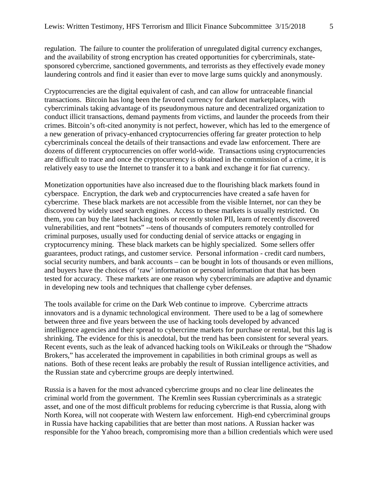regulation. The failure to counter the proliferation of unregulated digital currency exchanges, and the availability of strong encryption has created opportunities for cybercriminals, statesponsored cybercrime, sanctioned governments, and terrorists as they effectively evade money laundering controls and find it easier than ever to move large sums quickly and anonymously.

Cryptocurrencies are the digital equivalent of cash, and can allow for untraceable financial transactions. Bitcoin has long been the favored currency for darknet marketplaces, with cybercriminals taking advantage of its pseudonymous nature and decentralized organization to conduct illicit transactions, demand payments from victims, and launder the proceeds from their crimes. Bitcoin's oft-cited anonymity is not perfect, however, which has led to the emergence of a new generation of privacy-enhanced cryptocurrencies offering far greater protection to help cybercriminals conceal the details of their transactions and evade law enforcement. There are dozens of different cryptocurrencies on offer world-wide. Transactions using cryptocurrencies are difficult to trace and once the cryptocurrency is obtained in the commission of a crime, it is relatively easy to use the Internet to transfer it to a bank and exchange it for fiat currency.

Monetization opportunities have also increased due to the flourishing black markets found in cyberspace. Encryption, the dark web and cryptocurrencies have created a safe haven for cybercrime. These black markets are not accessible from the visible Internet, nor can they be discovered by widely used search engines. Access to these markets is usually restricted. On them, you can buy the latest hacking tools or recently stolen PII, learn of recently discovered vulnerabilities, and rent "botnets" --tens of thousands of computers remotely controlled for criminal purposes, usually used for conducting denial of service attacks or engaging in cryptocurrency mining. These black markets can be highly specialized. Some sellers offer guarantees, product ratings, and customer service. Personal information - credit card numbers, social security numbers, and bank accounts – can be bought in lots of thousands or even millions, and buyers have the choices of 'raw' information or personal information that that has been tested for accuracy. These markets are one reason why cybercriminals are adaptive and dynamic in developing new tools and techniques that challenge cyber defenses.

The tools available for crime on the Dark Web continue to improve. Cybercrime attracts innovators and is a dynamic technological environment. There used to be a lag of somewhere between three and five years between the use of hacking tools developed by advanced intelligence agencies and their spread to cybercrime markets for purchase or rental, but this lag is shrinking. The evidence for this is anecdotal, but the trend has been consistent for several years. Recent events, such as the leak of advanced hacking tools on WikiLeaks or through the "Shadow Brokers," has accelerated the improvement in capabilities in both criminal groups as well as nations. Both of these recent leaks are probably the result of Russian intelligence activities, and the Russian state and cybercrime groups are deeply intertwined.

Russia is a haven for the most advanced cybercrime groups and no clear line delineates the criminal world from the government. The Kremlin sees Russian cybercriminals as a strategic asset, and one of the most difficult problems for reducing cybercrime is that Russia, along with North Korea, will not cooperate with Western law enforcement. High-end cybercriminal groups in Russia have hacking capabilities that are better than most nations. A Russian hacker was responsible for the Yahoo breach, compromising more than a billion credentials which were used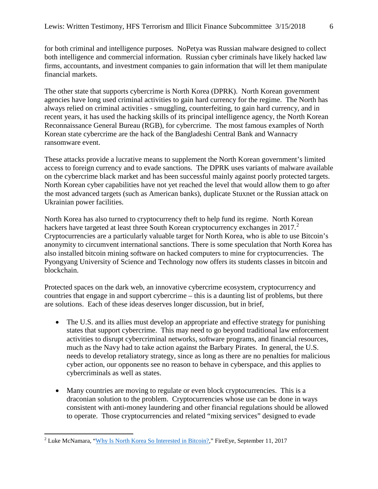for both criminal and intelligence purposes. NoPetya was Russian malware designed to collect both intelligence and commercial information. Russian cyber criminals have likely hacked law firms, accountants, and investment companies to gain information that will let them manipulate financial markets.

The other state that supports cybercrime is North Korea (DPRK). North Korean government agencies have long used criminal activities to gain hard currency for the regime. The North has always relied on criminal activities - smuggling, counterfeiting, to gain hard currency, and in recent years, it has used the hacking skills of its principal intelligence agency, the North Korean Reconnaissance General Bureau (RGB), for cybercrime. The most famous examples of North Korean state cybercrime are the hack of the Bangladeshi Central Bank and Wannacry ransomware event.

These attacks provide a lucrative means to supplement the North Korean government's limited access to foreign currency and to evade sanctions. The DPRK uses variants of malware available on the cybercrime black market and has been successful mainly against poorly protected targets. North Korean cyber capabilities have not yet reached the level that would allow them to go after the most advanced targets (such as American banks), duplicate Stuxnet or the Russian attack on Ukrainian power facilities.

North Korea has also turned to cryptocurrency theft to help fund its regime. North Korean hackers have targeted at least three South Korean cryptocurrency exchanges in  $2017<sup>2</sup>$  $2017<sup>2</sup>$ . Cryptocurrencies are a particularly valuable target for North Korea, who is able to use Bitcoin's anonymity to circumvent international sanctions. There is some speculation that North Korea has also installed bitcoin mining software on hacked computers to mine for cryptocurrencies. The Pyongyang University of Science and Technology now offers its students classes in bitcoin and blockchain.

Protected spaces on the dark web, an innovative cybercrime ecosystem, cryptocurrency and countries that engage in and support cybercrime – this is a daunting list of problems, but there are solutions. Each of these ideas deserves longer discussion, but in brief,

- The U.S. and its allies must develop an appropriate and effective strategy for punishing states that support cybercrime. This may need to go beyond traditional law enforcement activities to disrupt cybercriminal networks, software programs, and financial resources, much as the Navy had to take action against the Barbary Pirates. In general, the U.S. needs to develop retaliatory strategy, since as long as there are no penalties for malicious cyber action, our opponents see no reason to behave in cyberspace, and this applies to cybercriminals as well as states.
- Many countries are moving to regulate or even block cryptocurrencies. This is a draconian solution to the problem. Cryptocurrencies whose use can be done in ways consistent with anti-money laundering and other financial regulations should be allowed to operate. Those cryptocurrencies and related "mixing services" designed to evade

<span id="page-5-0"></span><sup>&</sup>lt;sup>2</sup> Luke McNamara, ["Why Is North Korea So Interested in Bitcoin?,](https://www.fireeye.com/blog/threat-research/2017/09/north-korea-interested-in-bitcoin.html)" FireEye, September 11, 2017